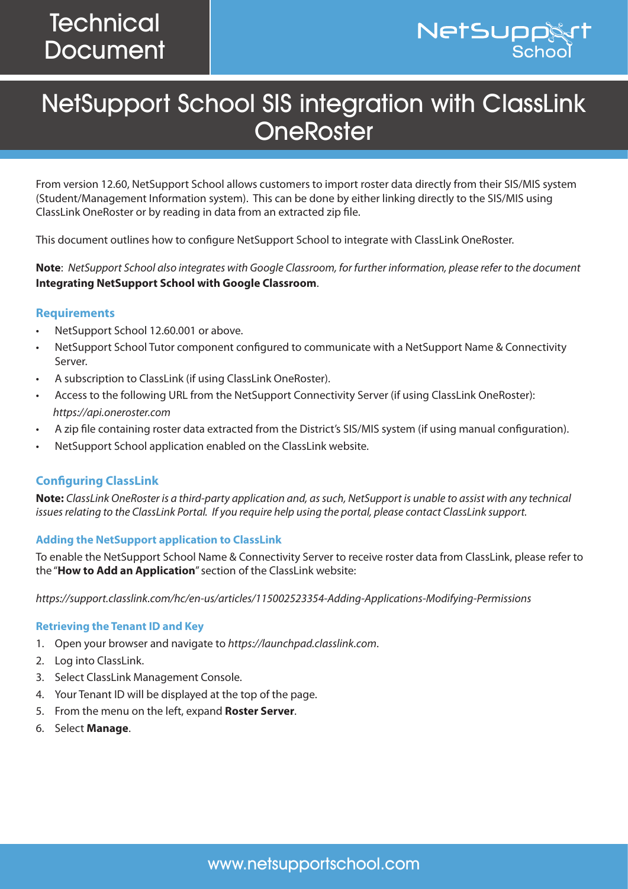

# NetSupport School SIS integration with ClassLink **OneRoster**

From version 12.60, NetSupport School allows customers to import roster data directly from their SIS/MIS system (Student/Management Information system). This can be done by either linking directly to the SIS/MIS using ClassLink OneRoster or by reading in data from an extracted zip file.

This document outlines how to configure NetSupport School to integrate with ClassLink OneRoster.

**Note**: *NetSupport School also integrates with Google Classroom, for further information, please refer to the document*  **[Integrating NetSupport School with Google Classroom](https://www.netsupportschool.com/wp-content/uploads/2019/06/Integrating-NetSupport-School-with-Google-Classroom.pdf)**.

## **Requirements**

- NetSupport School 12.60.001 or above.
- NetSupport School Tutor component configured to communicate with a NetSupport Name & Connectivity Server.
- A subscription to ClassLink (if using ClassLink OneRoster).
- Access to the following URL from the NetSupport Connectivity Server (if using ClassLink OneRoster): *<https://api.oneroster.com>*
- A zip file containing roster data extracted from the District's SIS/MIS system (if using manual configuration).
- NetSupport School application enabled on the ClassLink website.

## **Configuring ClassLink**

**Note:** *ClassLink OneRoster is a third-party application and, as such, NetSupport is unable to assist with any technical issues relating to the ClassLink Portal. If you require help using the portal, please contact ClassLink support.*

## **Adding the NetSupport application to ClassLink**

To enable the NetSupport School Name & Connectivity Server to receive roster data from ClassLink, please refer to the "**How to Add an Application**" section of the ClassLink website:

*<https://support.classlink.com/hc/en-us/articles/115002523354-Adding-Applications-Modifying-Permissions>*

## **Retrieving the Tenant ID and Key**

- 1. Open your browser and navigate to *[https://launchpad.classlink.com](https://launchpad.classlink.com
)*.
- 2. Log into ClassLink.
- 3. Select ClassLink Management Console.
- 4. Your Tenant ID will be displayed at the top of the page.
- 5. From the menu on the left, expand **Roster Server**.
- 6. Select **Manage**.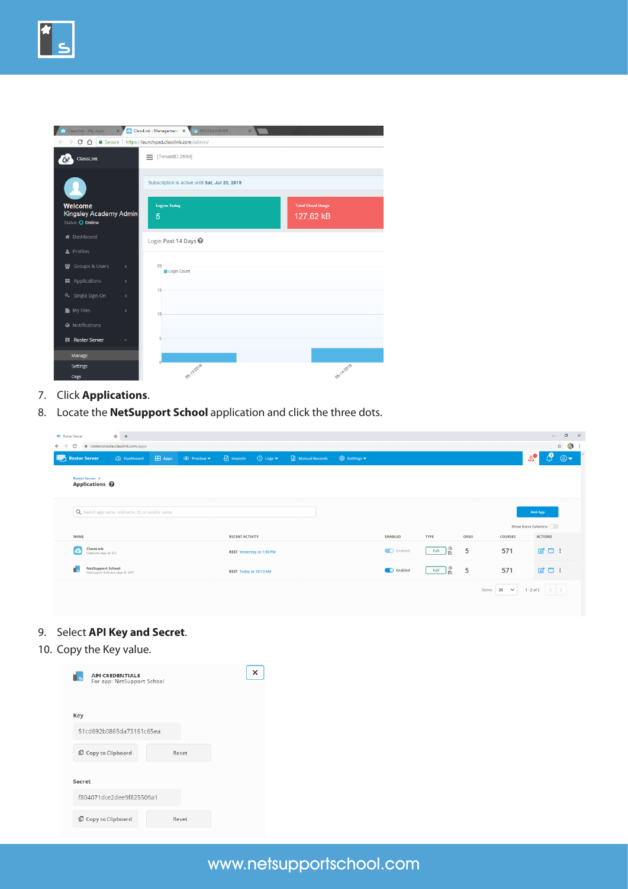| ClassLink - My Apps                                  | $\times$                      | ClassLink - Management X IL ROSTERSERVER<br>$\times$    |                                       |
|------------------------------------------------------|-------------------------------|---------------------------------------------------------|---------------------------------------|
|                                                      |                               | → C △ A Secure   https://launchpad.classlink.com/admin/ |                                       |
| ClassLink                                            |                               | $\equiv$ [TenantID 2994]                                |                                       |
|                                                      |                               | Subscription is active until Sat, Jul 20, 2019          |                                       |
| Welcome<br>Kingsley Academy Admin<br>Status O Online |                               | <b>Logins Today</b><br>5                                | <b>Total Cloud Usage</b><br>127.62 kB |
| <b>#</b> Dashboard                                   |                               | Login Past 14 Days @                                    |                                       |
| & Profiles                                           |                               |                                                         |                                       |
| 월 Groups & Users                                     | $\overline{\left( \right. }%$ | 20<br>Login Count                                       |                                       |
| <b>EE</b> Applications                               | $\overline{\left( \right. }%$ |                                                         |                                       |
| Q <sub>+</sub> Single Sign-On                        | $\langle$                     | 15                                                      |                                       |
| My Files                                             | $\langle$                     | 10                                                      |                                       |
| <b>A</b> Notifications                               |                               |                                                         |                                       |
| <b>EE</b> Roster Server                              | $\checkmark$                  | 5                                                       |                                       |
| Manage                                               |                               |                                                         |                                       |
| Settings                                             |                               | 08-13-2018                                              | 08-14-2018                            |
| Orgs                                                 |                               |                                                         |                                       |

- 7. Click **Applications**.
- 8. Locate the **NetSupport School** application and click the three dots.

| <b>Roster Server</b>                            | $\times$ +                                             |                            |                        |                                                           |                |              |                |                  |             |                       | $\sigma$<br>$\mathsf{X}$<br>$-$   |
|-------------------------------------------------|--------------------------------------------------------|----------------------------|------------------------|-----------------------------------------------------------|----------------|--------------|----------------|------------------|-------------|-----------------------|-----------------------------------|
| C<br>$\leftarrow$ $\rightarrow$                 | i rosterconsole.classlink.com/apps                     |                            |                        |                                                           |                |              |                |                  |             |                       | ☆ ● :                             |
| <b>Roster Server</b>                            | 2 Dashboard                                            | <b>ED</b> Apps ● Preview ▼ |                        | $\bigoplus$ imports $\bigoplus$ Logs $\blacktriangledown$ | Manual Records | © Settings ▼ |                |                  |             |                       | ு<br>$\mathbb{A}^{\bullet}$<br>⊛▼ |
| Roster Server ><br>Applications <sup>©</sup>    |                                                        |                            |                        |                                                           |                |              |                |                  |             |                       |                                   |
|                                                 | Q Search app name, nickname, ID, or vendor name        |                            |                        |                                                           |                |              |                |                  |             |                       | <b>Add App</b>                    |
|                                                 |                                                        |                            |                        |                                                           |                |              |                |                  |             |                       | Show Extra Columns                |
| <b>NAME</b>                                     |                                                        |                            | <b>RECENT ACTIVITY</b> |                                                           |                |              | <b>ENABLED</b> | <b>TYPE</b>      | <b>ORGS</b> | <b>COURSES</b>        | <b>ACTIONS</b>                    |
| ClassLink<br>$\omega$<br>ClassLink (App ID: 57) |                                                        |                            |                        | <b>REST Yesterday at 1:30 PM</b>                          |                |              | C Enabled      | 1 Se<br>Full     | 5           | 571                   |                                   |
| r.                                              | NetSupport School<br>NetSupport Software (App ID: 637) |                            | REST Today at 10:13 AM |                                                           |                |              | C Enabled      | $Full$ $\otimes$ | 5           | 571                   |                                   |
|                                                 |                                                        |                            |                        |                                                           |                |              |                |                  |             | $25 \times$<br>Items: | $1 - 2$ of 2 $\langle$            |

- 9. Select **API Key and Secret**.
- 10. Copy the Key value.

| <b>API CREDENTIALS</b><br>For app: NetSupport School |  |
|------------------------------------------------------|--|
| Key                                                  |  |
| 51cd692b0865da73161c65ea                             |  |
| C Copy to Clipboard<br>Reset                         |  |
| Secret                                               |  |
| f804071dce2dee9f825509a1                             |  |
| Copy to Clipboard<br>Reset                           |  |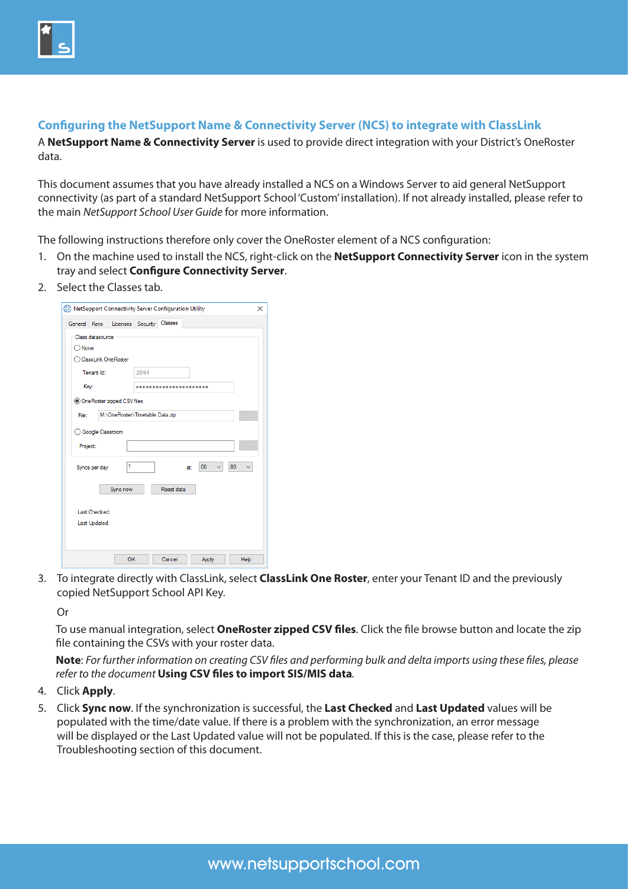

## **Configuring the NetSupport Name & Connectivity Server (NCS) to integrate with ClassLink**

A **NetSupport Name & Connectivity Server** is used to provide direct integration with your District's OneRoster data.

This document assumes that you have already installed a NCS on a Windows Server to aid general NetSupport connectivity (as part of a standard NetSupport School 'Custom' installation). If not already installed, please refer to the main *[NetSupport School User Guide](http://resources.netsupportsoftware.com/resources/manualpdfs/nss_manual_uk.pdf)* for more information.

The following instructions therefore only cover the OneRoster element of a NCS configuration:

- 1. On the machine used to install the NCS, right-click on the **NetSupport Connectivity Server** icon in the system tray and select **Configure Connectivity Server**.
- 2. Select the Classes tab.

| General Kevs |                    | Licenses Security               |      | Classes    |     |    |    |  |
|--------------|--------------------|---------------------------------|------|------------|-----|----|----|--|
|              | Class datasource   |                                 |      |            |     |    |    |  |
| ) None       |                    |                                 |      |            |     |    |    |  |
|              |                    | ClassLink OneRoster             |      |            |     |    |    |  |
|              | Tenant Id:         |                                 | 2994 |            |     |    |    |  |
| Key:         |                    |                                 |      |            |     |    |    |  |
|              |                    | O One Roster zipped CSV files   |      |            |     |    |    |  |
| File:        |                    | M:\OneRoster\Timetable Data.zip |      |            |     |    |    |  |
| Project:     | ◯ Google Classroom |                                 |      |            |     |    |    |  |
|              | Syncs per day:     | 1                               |      |            | at: | 00 | 00 |  |
|              |                    | Sync now                        |      | Reset data |     |    |    |  |
|              | Last Checked:      |                                 |      |            |     |    |    |  |
|              | Last Updated:      |                                 |      |            |     |    |    |  |
|              |                    |                                 |      |            |     |    |    |  |
|              |                    |                                 |      |            |     |    |    |  |

3. To integrate directly with ClassLink, select **ClassLink One Roster**, enter your Tenant ID and the previously copied NetSupport School API Key.

Or

To use manual integration, select **OneRoster zipped CSV files**. Click the file browse button and locate the zip file containing the CSVs with your roster data.

**Note**: *For further information on creating CSV files and performing bulk and delta imports using these files, please refer to the document* **[Using CSV files to import SIS/MIS data](https://www.netsupportschool.com/nss-pdfs/Using-CSV-files-to-import-SIS-MIS-data.pdf)***.*

- 4. Click **Apply**.
- 5. Click **Sync now**. If the synchronization is successful, the **Last Checked** and **Last Updated** values will be populated with the time/date value. If there is a problem with the synchronization, an error message will be displayed or the Last Updated value will not be populated. If this is the case, please refer to the Troubleshooting section of this document.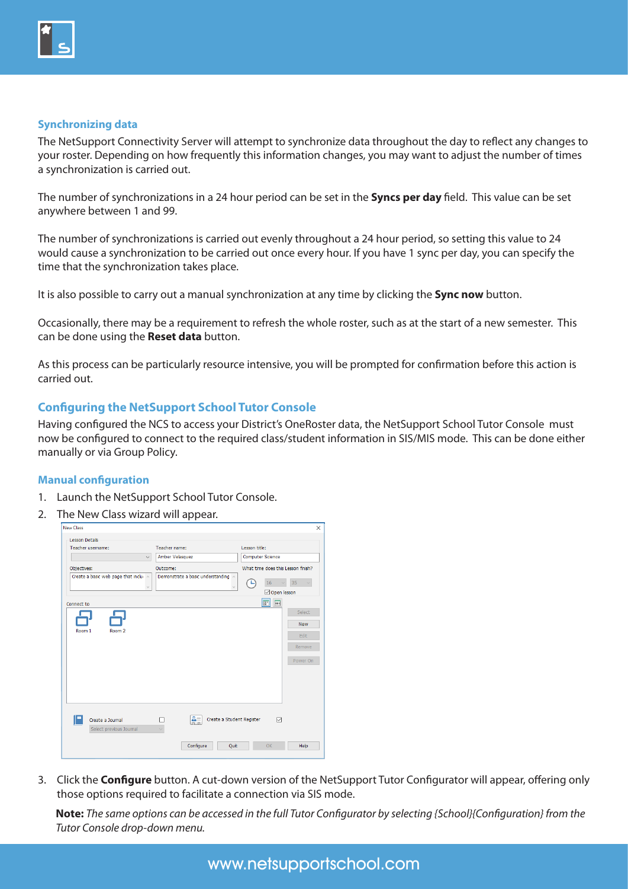

## **Synchronizing data**

The NetSupport Connectivity Server will attempt to synchronize data throughout the day to reflect any changes to your roster. Depending on how frequently this information changes, you may want to adjust the number of times a synchronization is carried out.

The number of synchronizations in a 24 hour period can be set in the **Syncs per day** field. This value can be set anywhere between 1 and 99.

The number of synchronizations is carried out evenly throughout a 24 hour period, so setting this value to 24 would cause a synchronization to be carried out once every hour. If you have 1 sync per day, you can specify the time that the synchronization takes place.

It is also possible to carry out a manual synchronization at any time by clicking the **Sync now** button.

Occasionally, there may be a requirement to refresh the whole roster, such as at the start of a new semester. This can be done using the **Reset data** button.

As this process can be particularly resource intensive, you will be prompted for confirmation before this action is carried out.

## **Configuring the NetSupport School Tutor Console**

Having configured the NCS to access your District's OneRoster data, the NetSupport School Tutor Console must now be configured to connect to the required class/student information in SIS/MIS mode. This can be done either manually or via Group Policy.

#### **Manual configuration**

- 1. Launch the NetSupport School Tutor Console.
- 2. The New Class wizard will appear.

| <b>New Class</b>                    |                                                                   |                                    |
|-------------------------------------|-------------------------------------------------------------------|------------------------------------|
| <b>Lesson Details</b>               |                                                                   |                                    |
| Teacher username:                   | Teacher name:                                                     | Lesson title:                      |
|                                     | Amber Velasquez<br>$\checkmark$                                   | Computer Science                   |
| Objectives:                         | Outcome:                                                          | What time does this Lesson finish? |
| Create a basic web page that inclui | Demonstrate a basic understanding A<br>$\backslash\!\!\backslash$ | 35<br>16<br>$\sim$                 |
|                                     |                                                                   | Open lesson                        |
| Connect to                          |                                                                   | <b>BBP</b><br>E                    |
|                                     |                                                                   | Select                             |
|                                     |                                                                   | <b>New</b>                         |
| Room <sub>2</sub><br>Room 1         |                                                                   | Edit                               |
|                                     |                                                                   |                                    |
|                                     |                                                                   | Remove                             |
|                                     |                                                                   | Power On                           |
|                                     |                                                                   |                                    |
|                                     |                                                                   |                                    |
|                                     |                                                                   |                                    |
|                                     |                                                                   |                                    |
|                                     |                                                                   |                                    |
| Create a Journal                    | 흙<br>п                                                            | Create a Student Register<br>☑     |
| Select previous Journal             |                                                                   |                                    |

3. Click the **Configure** button. A cut-down version of the NetSupport Tutor Configurator will appear, offering only those options required to facilitate a connection via SIS mode.

**Note:** *The same options can be accessed in the full Tutor Configurator by selecting {School}{Configuration} from the Tutor Console drop-down menu.*

www.netsupportschool.com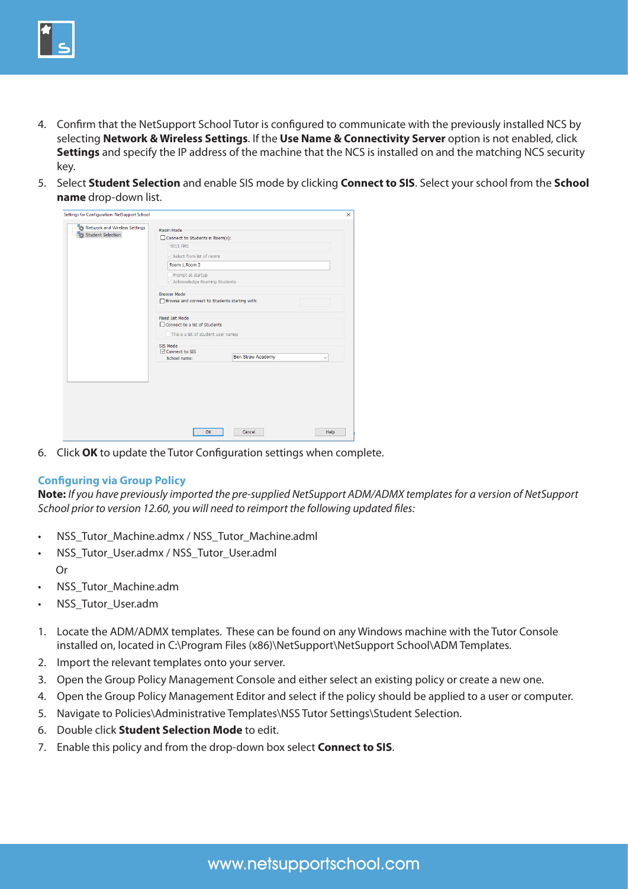

- 4. Confirm that the NetSupport School Tutor is configured to communicate with the previously installed NCS by selecting **Network & Wireless Settings**. If the **Use Name & Connectivity Server** option is not enabled, click **Settings** and specify the IP address of the machine that the NCS is installed on and the matching NCS security key.
- 5. Select **Student Selection** and enable SIS mode by clicking **Connect to SIS**. Select your school from the **School name** drop-down list.

| Connect to Students in Room(s):<br><b>YR11 FM1</b>  |                                           |                                                                                                                            |  |  |  |  |  |
|-----------------------------------------------------|-------------------------------------------|----------------------------------------------------------------------------------------------------------------------------|--|--|--|--|--|
|                                                     |                                           |                                                                                                                            |  |  |  |  |  |
|                                                     |                                           |                                                                                                                            |  |  |  |  |  |
|                                                     | $\triangledown$ Select from list of rooms |                                                                                                                            |  |  |  |  |  |
| Room 1, Room 2                                      |                                           |                                                                                                                            |  |  |  |  |  |
| Prompt at startup<br>Acknowledge Roaming Students   |                                           |                                                                                                                            |  |  |  |  |  |
| <b>Browse Mode</b>                                  |                                           |                                                                                                                            |  |  |  |  |  |
| <b>Fixed List Mode</b>                              |                                           |                                                                                                                            |  |  |  |  |  |
| SIS Mode<br><b>∞</b> Connect to SIS<br>School name: | <b>Ben Straw Academy</b>                  | $\checkmark$                                                                                                               |  |  |  |  |  |
|                                                     |                                           |                                                                                                                            |  |  |  |  |  |
|                                                     |                                           |                                                                                                                            |  |  |  |  |  |
|                                                     |                                           |                                                                                                                            |  |  |  |  |  |
|                                                     |                                           |                                                                                                                            |  |  |  |  |  |
|                                                     |                                           |                                                                                                                            |  |  |  |  |  |
|                                                     |                                           | □ Browse and connect to Students starting with:<br>□ Connect to a list of Students<br>This is a list of student user names |  |  |  |  |  |

6. Click **OK** to update the Tutor Configuration settings when complete.

## **Configuring via Group Policy**

**Note:** *If you have previously imported the pre-supplied NetSupport ADM/ADMX templates for a version of NetSupport School prior to version 12.60, you will need to reimport the following updated files:*

- NSS\_Tutor\_Machine.admx / NSS\_Tutor\_Machine.adml
- NSS\_Tutor\_User.admx / NSS\_Tutor\_User.adml Or
- NSS Tutor Machine.adm
- NSS Tutor User.adm
- 1. Locate the ADM/ADMX templates. These can be found on any Windows machine with the Tutor Console installed on, located in C:\Program Files (x86)\NetSupport\NetSupport School\ADM Templates.
- 2. Import the relevant templates onto your server.
- 3. Open the Group Policy Management Console and either select an existing policy or create a new one.
- 4. Open the Group Policy Management Editor and select if the policy should be applied to a user or computer.
- 5. Navigate to Policies\Administrative Templates\NSS Tutor Settings\Student Selection.
- 6. Double click **Student Selection Mode** to edit.
- 7. Enable this policy and from the drop-down box select **Connect to SIS**.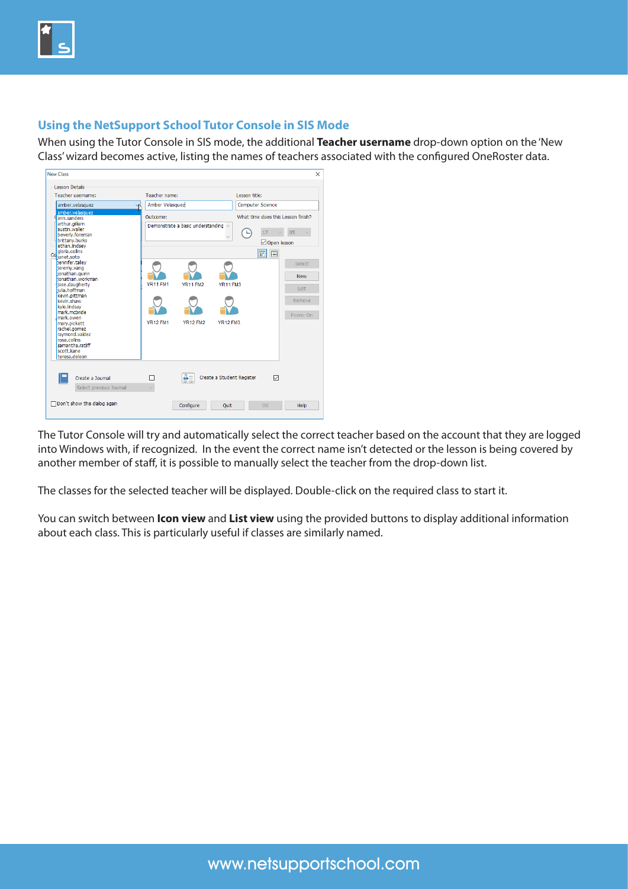

## **Using the NetSupport School Tutor Console in SIS Mode**

When using the Tutor Console in SIS mode, the additional **Teacher username** drop-down option on the 'New Class' wizard becomes active, listing the names of teachers associated with the configured OneRoster data.



The Tutor Console will try and automatically select the correct teacher based on the account that they are logged into Windows with, if recognized. In the event the correct name isn't detected or the lesson is being covered by another member of staff, it is possible to manually select the teacher from the drop-down list.

The classes for the selected teacher will be displayed. Double-click on the required class to start it.

You can switch between **Icon view** and **List view** using the provided buttons to display additional information about each class. This is particularly useful if classes are similarly named.